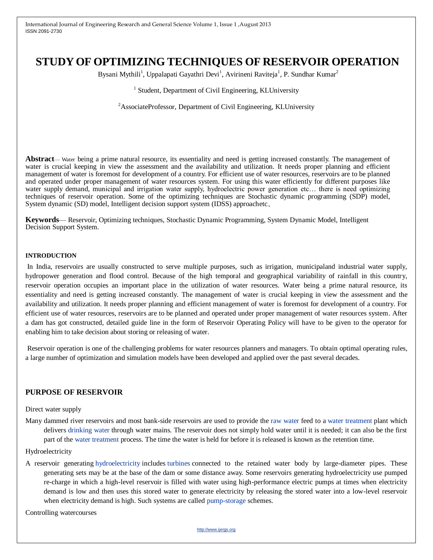# **STUDY OF OPTIMIZING TECHNIQUES OF RESERVOIR OPERATION**

Bysani Mythili<sup>1</sup>, Uppalapati Gayathri Devi<sup>1</sup>, Avirineni Raviteja<sup>1</sup>, P. Sundhar Kumar<sup>2</sup>

### <sup>1</sup> Student, Department of Civil Engineering, KLUniversity

<sup>2</sup>AssociateProfessor, Department of Civil Engineering, KLUniversity

**Abstract**— Water being a prime natural resource, its essentiality and need is getting increased constantly. The management of water is crucial keeping in view the assessment and the availability and utilization. It needs proper planning and efficient management of water is foremost for development of a country. For efficient use of water resources, reservoirs are to be planned and operated under proper management of water resources system. For using this water efficiently for different purposes like water supply demand, municipal and irrigation water supply, hydroelectric power generation etc... there is need optimizing techniques of reservoir operation. Some of the optimizing techniques are Stochastic dynamic programming (SDP) model, System dynamic (SD) model, Intelligent decision support system (IDSS) approachetc.,

**Keywords**— Reservoir, Optimizing techniques, Stochastic Dynamic Programming, System Dynamic Model, Intelligent Decision Support System.

#### **INTRODUCTION**

In India, reservoirs are usually constructed to serve multiple purposes, such as irrigation, municipaland industrial water supply, hydropower generation and flood control. Because of the high temporal and geographical variability of rainfall in this country, reservoir operation occupies an important place in the utilization of water resources. Water being a prime natural resource, its essentiality and need is getting increased constantly. The management of water is crucial keeping in view the assessment and the availability and utilization. It needs proper planning and efficient management of water is foremost for development of a country. For efficient use of water resources, reservoirs are to be planned and operated under proper management of water resources system. After a dam has got constructed, detailed guide line in the form of Reservoir Operating Policy will have to be given to the operator for enabling him to take decision about storing or releasing of water.

Reservoir operation is one of the challenging problems for water resources planners and managers. To obtain optimal operating rules, a large number of optimization and simulation models have been developed and applied over the past several decades.

#### **PURPOSE OF RESERVOIR**

#### Direct water supply

Many dammed river reservoirs and most bank-side reservoirs are used to provide the [raw water](http://en.wikipedia.org/wiki/Raw_water) feed to a [water treatment](http://en.wikipedia.org/wiki/Water_treatment) plant which delivers [drinking water](http://en.wikipedia.org/wiki/Drinking_water) through water mains. The reservoir does not simply hold water until it is needed; it can also be the first part of the [water treatment](http://en.wikipedia.org/wiki/Water_treatment) process. The time the water is held for before it is released is known as the retention time.

#### Hydroelectricity

A reservoir generating [hydroelectricity](http://en.wikipedia.org/wiki/Hydroelectricity) includes [turbines](http://en.wikipedia.org/wiki/Water_turbine) connected to the retained water body by large-diameter pipes. These generating sets may be at the base of the dam or some distance away. Some reservoirs generating hydroelectricity use pumped re-charge in which a high-level reservoir is filled with water using high-performance electric pumps at times when electricity demand is low and then uses this stored water to generate electricity by releasing the stored water into a low-level reservoir when electricity demand is high. Such systems are called [pump-storage](http://en.wikipedia.org/wiki/Pumped-storage_hydroelectricity) schemes.

Controlling watercourses

http://www.ijergs.org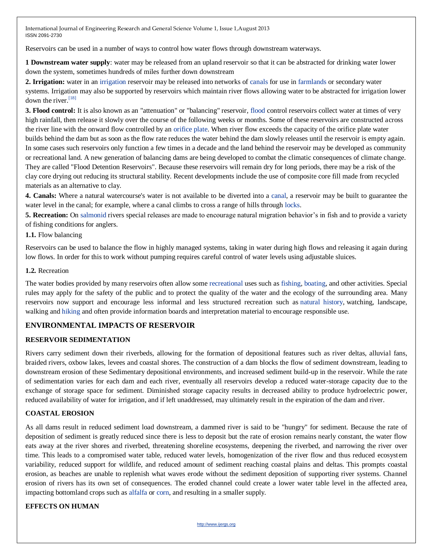Reservoirs can be used in a number of ways to control how water flows through downstream waterways.

**1 Downstream water supply**: water may be released from an upland reservoir so that it can be abstracted for drinking water lower down the system, sometimes hundreds of miles further down downstream

**2. Irrigation:** water in an [irrigation](http://en.wikipedia.org/wiki/Irrigation) reservoir may be released into networks of [canals](http://en.wikipedia.org/wiki/Canal) for use in [farmlands](http://en.wikipedia.org/wiki/Farm) or secondary water systems. Irrigation may also be supported by reservoirs which maintain river flows allowing water to be abstracted for irrigation lower down the river.<sup>[\[18\]](http://en.wikipedia.org/wiki/Reservoir#cite_note-18)</sup>

**3. Flood control:** It is also known as an "attenuation" or "balancing" reservoir, [flood](http://en.wikipedia.org/wiki/Flood) control reservoirs collect water at times of very high rainfall, then release it slowly over the course of the following weeks or months. Some of these reservoirs are constructed across the river line with the onward flow controlled by an [orifice plate.](http://en.wikipedia.org/wiki/Orifice_plate) When river flow exceeds the capacity of the orifice plate water builds behind the dam but as soon as the flow rate reduces the water behind the dam slowly releases until the reservoir is empty again. In some cases such reservoirs only function a few times in a decade and the land behind the reservoir may be developed as community or recreational land. A new generation of balancing dams are being developed to combat the climatic consequences of climate change. They are called "Flood Detention Reservoirs". Because these reservoirs will remain dry for long periods, there may be a risk of the clay core drying out reducing its structural stability. Recent developments include the use of composite core fill made from recycled materials as an alternative to clay.

**4. Canals:** Where a natural watercourse's water is not available to be diverted into a [canal,](http://en.wikipedia.org/wiki/Canal) a reservoir may be built to guarantee the water level in the canal; for example, where a canal climbs to cross a range of hills through [locks.](http://en.wikipedia.org/wiki/Lock_(water_transport))

**5. Recreation:** On [salmonid](http://en.wikipedia.org/wiki/Salmon) rivers special releases are made to encourage natural migration behavior's in fish and to provide a variety of fishing conditions for anglers.

**1.1.** Flow balancing

Reservoirs can be used to balance the flow in highly managed systems, taking in water during high flows and releasing it again during low flows. In order for this to work without pumping requires careful control of water levels using adjustable sluices.

### **1.2.** Recreation

The water bodies provided by many reservoirs often allow some [recreational](http://en.wikipedia.org/wiki/Recreation) uses such as [fishing,](http://en.wikipedia.org/wiki/Fishing) [boating,](http://en.wikipedia.org/wiki/Boating) and other activities. Special rules may apply for the safety of the public and to protect the quality of the water and the ecology of the surrounding area. Many reservoirs now support and encourage less informal and less structured recreation such as [natural history,](http://en.wikipedia.org/wiki/Natural_history) watching, landscape, walking and [hiking](http://en.wikipedia.org/wiki/Hiking) and often provide information boards and interpretation material to encourage responsible use.

# **ENVIRONMENTAL IMPACTS OF RESERVOIR**

### **RESERVOIR SEDIMENTATION**

Rivers carry sediment down their riverbeds, allowing for the formation of depositional features such as river deltas, alluvial fans, braided rivers, oxbow lakes, levees and coastal shores. The construction of a dam blocks the flow of sediment downstream, leading to downstream erosion of these Sedimentary depositional environments, and increased sediment build-up in the reservoir. While the rate of sedimentation varies for each dam and each river, eventually all reservoirs develop a reduced water-storage capacity due to the exchange of storage space for sediment. Diminished storage capacity results in decreased ability to produce hydroelectric power, reduced availability of water for irrigation, and if left unaddressed, may ultimately result in the expiration of the dam and river.

### **COASTAL EROSION**

As all dams result in reduced sediment load downstream, a dammed river is said to be "hungry" for sediment. Because the rate of deposition of sediment is greatly reduced since there is less to deposit but the rate of erosion remains nearly constant, the water flow eats away at the river shores and riverbed, threatening shoreline ecosystems, deepening the riverbed, and narrowing the river over time. This leads to a compromised water table, reduced water levels, homogenization of the river flow and thus reduced ecosystem variability, reduced support for wildlife, and reduced amount of sediment reaching coastal plains and deltas. This prompts coastal erosion, as beaches are unable to replenish what waves erode without the sediment deposition of supporting river systems. Channel erosion of rivers has its own set of consequences. The eroded channel could create a lower water table level in the affected area, impacting bottomland crops such as [alfalfa](http://en.wikipedia.org/wiki/Alfalfa) or [corn,](http://en.wikipedia.org/wiki/Zea_mays) and resulting in a smaller supply.

### **EFFECTS ON HUMAN**

http://www.ijergs.org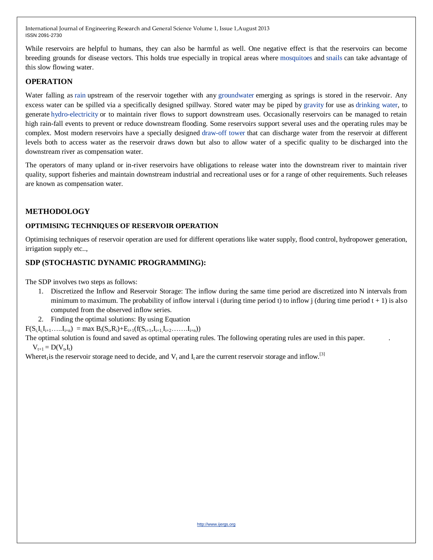While reservoirs are helpful to humans, they can also be harmful as well. One negative effect is that the reservoirs can become breeding grounds for disease vectors. This holds true especially in tropical areas where [mosquitoes](http://en.wikipedia.org/wiki/Mosquitoes) and [snails](http://en.wikipedia.org/wiki/Snails) can take advantage of this slow flowing water.

# **OPERATION**

Water falling as [rain](http://en.wikipedia.org/wiki/Rain) upstream of the reservoir together with any [groundwater](http://en.wikipedia.org/wiki/Groundwater) emerging as springs is stored in the reservoir. Any excess water can be spilled via a specifically designed spillway. Stored water may be piped by [gravity](http://en.wikipedia.org/wiki/Gravity) for use as [drinking water,](http://en.wikipedia.org/wiki/Drinking_water) to generate [hydro-electricity](http://en.wikipedia.org/wiki/Hydro-electricity) or to maintain river flows to support downstream uses. Occasionally reservoirs can be managed to retain high rain-fall events to prevent or reduce downstream flooding. Some reservoirs support several uses and the operating rules may be complex. Most modern reservoirs have a specially designed [draw-off tower](http://en.wikipedia.org/w/index.php?title=Draw-off_tower&action=edit&redlink=1) that can discharge water from the reservoir at different levels both to access water as the reservoir draws down but also to allow water of a specific quality to be discharged into the downstream river as compensation water.

The operators of many upland or in-river reservoirs have obligations to release water into the downstream river to maintain river quality, support fisheries and maintain downstream industrial and recreational uses or for a range of other requirements. Such releases are known as compensation water.

# **METHODOLOGY**

# **OPTIMISING TECHNIQUES OF RESERVOIR OPERATION**

Optimising techniques of reservoir operation are used for different operations like water supply, flood control, hydropower generation, irrigation supply etc..,

# **SDP (STOCHASTIC DYNAMIC PROGRAMMING):**

The SDP involves two steps as follows:

- 1. Discretized the Inflow and Reservoir Storage: The inflow during the same time period are discretized into N intervals from minimum to maximum. The probability of inflow interval i (during time period t) to inflow j (during time period  $t + 1$ ) is also computed from the observed inflow series.
- 2. Finding the optimal solutions: By using Equation

 $F(S_i, I_{i_1}, I_{i+1}, \ldots, I_{i+n}) = \max B_i(S_i, R_i) + E_{i+1}(f(S_{i+1}, I_{i+1}, I_{i+2}, \ldots, I_{i+n}))$ 

The optimal solution is found and saved as optimal operating rules. The following operating rules are used in this paper. .  $V_{t+1} = D(V_t, I_t)$ 

Wheret<sub>1</sub> is the reservoir storage need to decide, and  $V_t$  and  $I_t$  are the current reservoir storage and inflow.<sup>[3]</sup>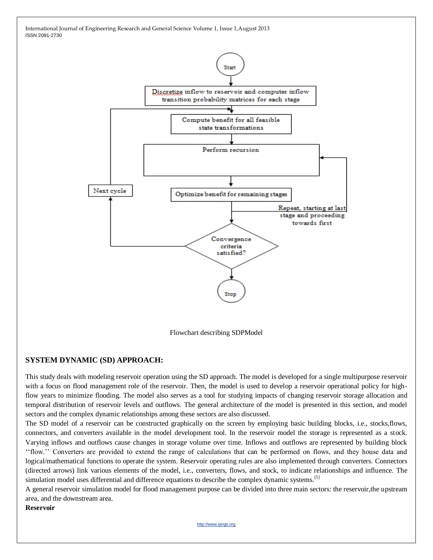

Flowchart describing SDPModel

# **SYSTEM DYNAMIC (SD) APPROACH:**

This study deals with modeling reservoir operation using the SD approach. The model is developed for a single multipurpose reservoir with a focus on flood management role of the reservoir. Then, the model is used to develop a reservoir operational policy for highflow years to minimize flooding. The model also serves as a tool for studying impacts of changing reservoir storage allocation and temporal distribution of reservoir levels and outflows. The general architecture of the model is presented in this section, and model sectors and the complex dynamic relationships among these sectors are also discussed.

The SD model of a reservoir can be constructed graphically on the screen by employing basic building blocks, i.e., stocks,flows, connectors, and converters available in the model development tool. In the reservoir model the storage is represented as a stock. Varying inflows and outflows cause changes in storage volume over time. Inflows and outflows are represented by building block ''flow.'' Converters are provided to extend the range of calculations that can be performed on flows, and they house data and logical/mathematical functions to operate the system. Reservoir operating rules are also implemented through converters. Connectors (directed arrows) link various elements of the model, i.e., converters, flows, and stock, to indicate relationships and influence. The simulation model uses differential and difference equations to describe the complex dynamic systems.<sup>[5]</sup>

A general reservoir simulation model for flood management purpose can be divided into three main sectors: the reservoir,the upstream area, and the downstream area.

#### **Reservoir**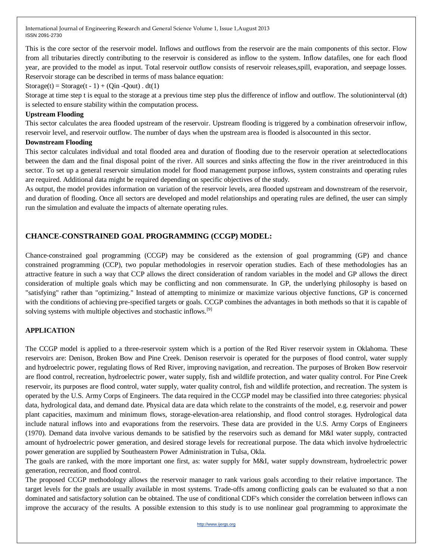This is the core sector of the reservoir model. Inflows and outflows from the reservoir are the main components of this sector. Flow from all tributaries directly contributing to the reservoir is considered as inflow to the system. Inflow datafiles, one for each flood year, are provided to the model as input. Total reservoir outflow consists of reservoir releases,spill, evaporation, and seepage losses. Reservoir storage can be described in terms of mass balance equation:

Storage(t) = Storage(t - 1) + (Qin -Qout) . dt(1)

Storage at time step t is equal to the storage at a previous time step plus the difference of inflow and outflow. The solutioninterval (dt) is selected to ensure stability within the computation process.

#### **Upstream Flooding**

This sector calculates the area flooded upstream of the reservoir. Upstream flooding is triggered by a combination ofreservoir inflow, reservoir level, and reservoir outflow. The number of days when the upstream area is flooded is alsocounted in this sector.

#### **Downstream Flooding**

This sector calculates individual and total flooded area and duration of flooding due to the reservoir operation at selectedlocations between the dam and the final disposal point of the river. All sources and sinks affecting the flow in the river areintroduced in this sector. To set up a general reservoir simulation model for flood management purpose inflows, system constraints and operating rules are required. Additional data might be required depending on specific objectives of the study.

As output, the model provides information on variation of the reservoir levels, area flooded upstream and downstream of the reservoir, and duration of flooding. Once all sectors are developed and model relationships and operating rules are defined, the user can simply run the simulation and evaluate the impacts of alternate operating rules.

# **CHANCE-CONSTRAINED GOAL PROGRAMMING (CCGP) MODEL:**

Chance-constrained goal programming (CCGP) may be considered as the extension of goal programming (GP) and chance constrained programming (CCP), two popular methodologies in reservoir operation studies. Each of these methodologies has an attractive feature in such a way that CCP allows the direct consideration of random variables in the model and GP allows the direct consideration of multiple goals which may be conflicting and non commensurate. In GP, the underlying philosophy is based on "satisfying" rather than "optimizing." Instead of attempting to minimize or maximize various objective functions, GP is concerned with the conditions of achieving pre-specified targets or goals. CCGP combines the advantages in both methods so that it is capable of solving systems with multiple objectives and stochastic inflows.<sup>[9]</sup>

### **APPLICATION**

The CCGP model is applied to a three-reservoir system which is a portion of the Red River reservoir system in Oklahoma. These reservoirs are: Denison, Broken Bow and Pine Creek. Denison reservoir is operated for the purposes of flood control, water supply and hydroelectric power, regulating flows of Red River, improving navigation, and recreation. The purposes of Broken Bow reservoir are flood control, recreation, hydroelectric power, water supply, fish and wildlife protection, and water quality control. For Pine Creek reservoir, its purposes are flood control, water supply, water quality control, fish and wildlife protection, and recreation. The system is operated by the U.S. Army Corps of Engineers. The data required in the CCGP model may be classified into three categories: physical data, hydrological data, and demand date. Physical data are data which relate to the constraints of the model, e.g. reservoir and power plant capacities, maximum and minimum flows, storage-elevation-area relationship, and flood control storages. Hydrological data include natural inflows into and evaporations from the reservoirs. These data are provided in the U.S. Army Corps of Engineers (1970). Demand data involve various demands to be satisfied by the reservoirs such as demand for M&I water supply, contracted amount of hydroelectric power generation, and desired storage levels for recreational purpose. The data which involve hydroelectric power generation are supplied by Southeastern Power Administration in Tulsa, Okla.

The goals are ranked, with the more important one first, as: water supply for M&I, water supply downstream, hydroelectric power generation, recreation, and flood control.

The proposed CCGP methodology allows the reservoir manager to rank various goals according to their relative importance. The target levels for the goals are usually available in most systems. Trade-offs among conflicting goals can be evaluated so that a non dominated and satisfactory solution can be obtained. The use of conditional CDF's which consider the correlation between inflows can improve the accuracy of the results. A possible extension to this study is to use nonlinear goal programming to approximate the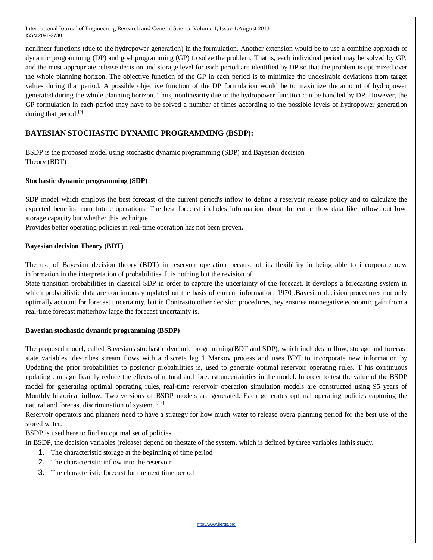nonlinear functions (due to the hydropower generation) in the formulation. Another extension would be to use a combine approach of dynamic programming (DP) and goal programming (GP) to solve the problem. That is, each individual period may be solved by GP, and the most appropriate release decision and storage level for each period are identified by DP so that the problem is optimized over the whole planning horizon. The objective function of the GP in each period is to minimize the undesirable deviations from target values during that period. A possible objective function of the DP formulation would be to maximize the amount of hydropower generated during the whole planning horizon. Thus, nonlinearity due to the hydropower function can be handled by DP. However, the GP formulation in each period may have to be solved a number of times according to the possible levels of hydropower generation during that period.<sup>[9]</sup>

# **BAYESIAN STOCHASTIC DYNAMIC PROGRAMMING (BSDP):**

BSDP is the proposed model using stochastic dynamic programming (SDP) and Bayesian decision Theory (BDT)

### **Stochastic dynamic programming (SDP)**

SDP model which employs the best forecast of the current period's inflow to define a reservoir release policy and to calculate the expected benefits from future operations. The best forecast includes information about the entire flow data like inflow, outflow, storage capacity but whether this technique

Provides better operating policies in real-time operation has not been proven**.**

#### **Bayesian decision Theory (BDT)**

The use of Bayesian decision theory (BDT) in reservoir operation because of its flexibility in being able to incorporate new information in the interpretation of probabilities. It is nothing but the revision of

State transition probabilities in classical SDP in order to capture the uncertainty of the forecast. It develops a forecasting system in which probabilistic data are continuously updated on the basis of current information. 1970].Bayesian decision procedures not only optimally account for forecast uncertainty, but in Contrastto other decision procedures,they ensurea nonnegative economic gain from a real-time forecast matterhow large the forecast uncertainty is.

### **Bayesian stochastic dynamic programming (BSDP)**

The proposed model, called Bayesians stochastic dynamic programming(BDT and SDP), which includes in flow, storage and forecast state variables, describes stream flows with a discrete lag 1 Markov process and uses BDT to incorporate new information by Updating the prior probabilities to posterior probabilities is, used to generate optimal reservoir operating rules. T his continuous updating can significantly reduce the effects of natural and forecast uncertainties in the model. In order to test the value of the BSDP model for generating optimal operating rules, real-time reservoir operation simulation models are constructed using 95 years of Monthly historical inflow. Two versions of BSDP models are generated. Each generates optimal operating policies capturing the natural and forecast discrimination of system. [12]

Reservoir operators and planners need to have a strategy for how much water to release overa planning period for the best use of the stored water.

BSDP is used here to find an optimal set of policies.

In BSDP, the decision variables (release) depend on thestate of the system, which is defined by three variables inthis study.

- 1. The characteristic storage at the beginning of time period
- 2. The characteristic inflow into the reservoir
- 3. The characteristic forecast for the next time period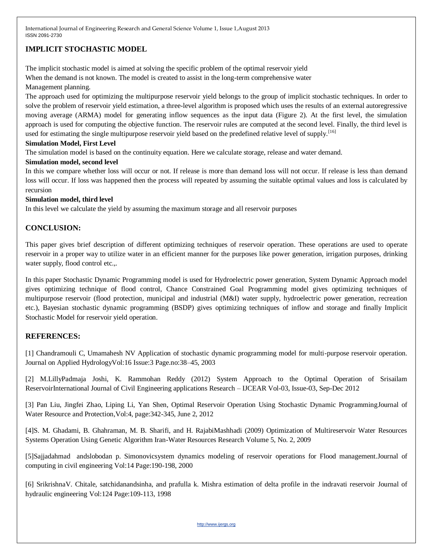# **IMPLICIT STOCHASTIC MODEL**

The implicit stochastic model is aimed at solving the specific problem of the optimal reservoir yield When the demand is not known. The model is created to assist in the long-term comprehensive water Management planning.

The approach used for optimizing the multipurpose reservoir yield belongs to the group of implicit stochastic techniques. In order to solve the problem of reservoir yield estimation, a three-level algorithm is proposed which uses the results of an external autoregressive moving average (ARMA) model for generating inflow sequences as the input data (Figure 2). At the first level, the simulation approach is used for computing the objective function. The reservoir rules are computed at the second level. Finally, the third level is used for estimating the single multipurpose reservoir yield based on the predefined relative level of supply.<sup>[16]</sup>

### **Simulation Model, First Level**

The simulation model is based on the continuity equation. Here we calculate storage, release and water demand.

### **Simulation model, second level**

In this we compare whether loss will occur or not. If release is more than demand loss will not occur. If release is less than demand loss will occur. If loss was happened then the process will repeated by assuming the suitable optimal values and loss is calculated by recursion

### **Simulation model, third level**

In this level we calculate the yield by assuming the maximum storage and all reservoir purposes

# **CONCLUSION:**

This paper gives brief description of different optimizing techniques of reservoir operation. These operations are used to operate reservoir in a proper way to utilize water in an efficient manner for the purposes like power generation, irrigation purposes, drinking water supply, flood control etc.,.

In this paper Stochastic Dynamic Programming model is used for Hydroelectric power generation, System Dynamic Approach model gives optimizing technique of flood control, Chance Constrained Goal Programming model gives optimizing techniques of multipurpose reservoir (flood protection, municipal and industrial (M&I) water supply, hydroelectric power generation, recreation etc.), Bayesian stochastic dynamic programming (BSDP) gives optimizing techniques of inflow and storage and finally Implicit Stochastic Model for reservoir yield operation.

# **REFERENCES:**

[1] Chandramouli C, Umamahesh NV Application of stochastic dynamic programming model for multi-purpose reservoir operation. Journal on Applied HydrologyVol:16 Issue:3 Page.no:38–45, 2003

[2] M.LillyPadmaja Joshi, K. Rammohan Reddy (2012) System Approach to the Optimal Operation of Srisailam ReservoirInternational Journal of Civil Engineering applications Research – IJCEAR Vol-03, Issue-03, Sep-Dec 2012

[3] Pan Liu, Jingfei Zhao, Liping Li, Yan Shen, Optimal Reservoir Operation Using Stochastic Dynamic ProgrammingJournal of Water Resource and Protection,Vol:4, page:342-345, June 2, 2012

[4]S. M. Ghadami, B. Ghahraman, M. B. Sharifi, and H. RajabiMashhadi (2009) Optimization of Multireservoir Water Resources Systems Operation Using Genetic Algorithm Iran-Water Resources Research Volume 5, No. 2, 2009

[5]Sajjadahmad andslobodan p. Simonovicsystem dynamics modeling of reservoir operations for Flood management.Journal of computing in civil engineering Vol:14 Page:190-198, 2000

[6] SrikrishnaV. Chitale, satchidanandsinha, and prafulla k. Mishra estimation of delta profile in the indravati reservoir Journal of hydraulic engineering Vol:124 Page:109-113, 1998